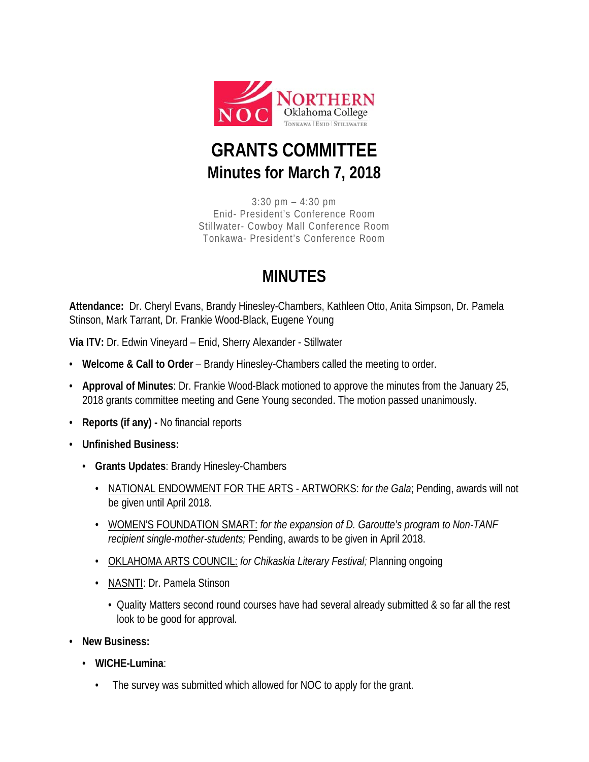

## **GRANTS COMMITTEE Minutes for March 7, 2018**

3:30 pm – 4:30 pm Enid- President's Conference Room Stillwater- Cowboy Mall Conference Room Tonkawa- President's Conference Room

## **MINUTES**

**Attendance:** Dr. Cheryl Evans, Brandy Hinesley-Chambers, Kathleen Otto, Anita Simpson, Dr. Pamela Stinson, Mark Tarrant, Dr. Frankie Wood-Black, Eugene Young

**Via ITV:** Dr. Edwin Vineyard – Enid, Sherry Alexander - Stillwater

- **Welcome & Call to Order** Brandy Hinesley-Chambers called the meeting to order.
- **Approval of Minutes**: Dr. Frankie Wood-Black motioned to approve the minutes from the January 25, 2018 grants committee meeting and Gene Young seconded. The motion passed unanimously.
- **Reports (if any) -** No financial reports
- **Unfinished Business:**
	- **Grants Updates**: Brandy Hinesley-Chambers
		- NATIONAL ENDOWMENT FOR THE ARTS ARTWORKS: *for the Gala*; Pending, awards will not be given until April 2018.
		- WOMEN'S FOUNDATION SMART: *for the expansion of D. Garoutte's program to Non-TANF recipient single-mother-students;* Pending, awards to be given in April 2018.
		- OKLAHOMA ARTS COUNCIL: *for Chikaskia Literary Festival;* Planning ongoing
		- NASNTI: Dr. Pamela Stinson
			- Quality Matters second round courses have had several already submitted & so far all the rest look to be good for approval.
- **New Business:**
	- **WICHE-Lumina**:
		- The survey was submitted which allowed for NOC to apply for the grant.